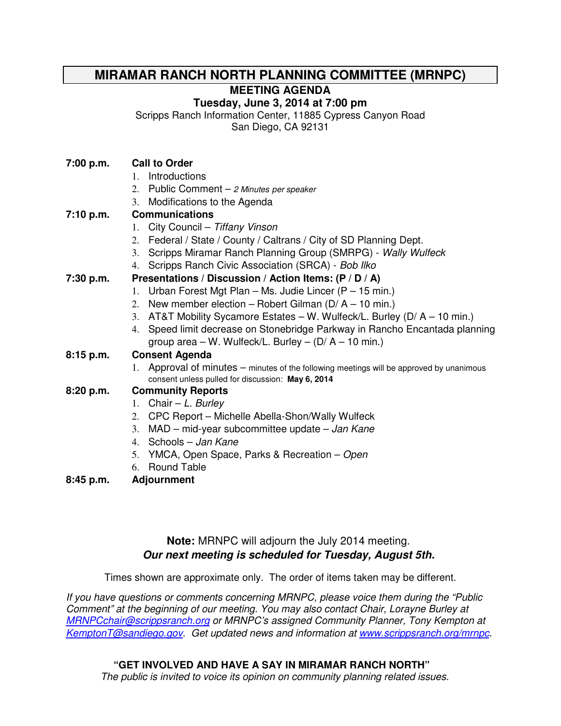# **MIRAMAR RANCH NORTH PLANNING COMMITTEE (MRNPC)**

**MEETING AGENDA** 

## **Tuesday, June 3, 2014 at 7:00 pm**

Scripps Ranch Information Center, 11885 Cypress Canyon Road

San Diego, CA 92131

### **7:00 p.m. Call to Order**

- 1. Introductions
- 2. Public Comment 2 Minutes per speaker
- 3. Modifications to the Agenda

## **7:10 p.m. Communications**

- 1. City Council Tiffany Vinson
- 2. Federal / State / County / Caltrans / City of SD Planning Dept.
- 3. Scripps Miramar Ranch Planning Group (SMRPG) Wally Wulfeck
- 4. Scripps Ranch Civic Association (SRCA) Bob Ilko

## **7:30 p.m. Presentations / Discussion / Action Items: (P / D / A)**

- 1. Urban Forest Mgt Plan Ms. Judie Lincer (P 15 min.)
- 2. New member election Robert Gilman ( $D/A 10$  min.)
- 3. AT&T Mobility Sycamore Estates W. Wulfeck/L. Burley (D/ A 10 min.)
- 4. Speed limit decrease on Stonebridge Parkway in Rancho Encantada planning group area – W. Wulfeck/L. Burley –  $(D/A - 10$  min.)

### **8:15 p.m. Consent Agenda**

1. Approval of minutes – minutes of the following meetings will be approved by unanimous consent unless pulled for discussion: **May 6, 2014**

### **8:20 p.m. Community Reports**

- 1. Chair  $-L$ . Burley
- 2. CPC Report Michelle Abella-Shon/Wally Wulfeck
- 3.  $MAD mid-year subcommitteed update Jan Kane$
- 4. Schools Jan Kane
- 5. YMCA, Open Space, Parks & Recreation Open
- 6. Round Table
- **8:45 p.m. Adjournment**

# **Note:** MRNPC will adjourn the July 2014 meeting. **Our next meeting is scheduled for Tuesday, August 5th.**

Times shown are approximate only. The order of items taken may be different.

If you have questions or comments concerning MRNPC, please voice them during the "Public Comment" at the beginning of our meeting. You may also contact Chair, Lorayne Burley at MRNPCchair@scrippsranch.org or MRNPC's assigned Community Planner, Tony Kempton at KemptonT@sandiego.gov. Get updated news and information at www.scrippsranch.org/mrnpc.

## **"GET INVOLVED AND HAVE A SAY IN MIRAMAR RANCH NORTH"**

The public is invited to voice its opinion on community planning related issues.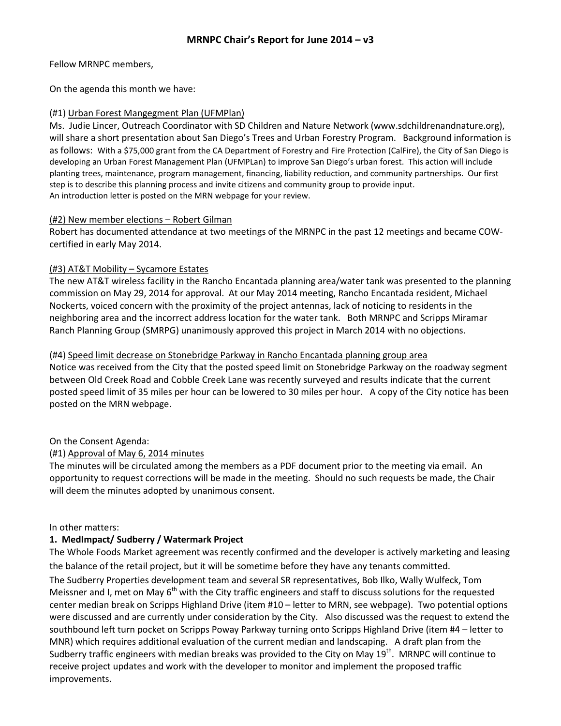Fellow MRNPC members,

On the agenda this month we have:

#### (#1) Urban Forest Mangegment Plan (UFMPlan)

Ms. Judie Lincer, Outreach Coordinator with SD Children and Nature Network (www.sdchildrenandnature.org), will share a short presentation about San Diego's Trees and Urban Forestry Program. Background information is as follows: With a \$75,000 grant from the CA Department of Forestry and Fire Protection (CalFire), the City of San Diego is developing an Urban Forest Management Plan (UFMPLan) to improve San Diego's urban forest. This action will include planting trees, maintenance, program management, financing, liability reduction, and community partnerships. Our first step is to describe this planning process and invite citizens and community group to provide input. An introduction letter is posted on the MRN webpage for your review.

#### (#2) New member elections – Robert Gilman

Robert has documented attendance at two meetings of the MRNPC in the past 12 meetings and became COWcertified in early May 2014.

### (#3) AT&T Mobility – Sycamore Estates

The new AT&T wireless facility in the Rancho Encantada planning area/water tank was presented to the planning commission on May 29, 2014 for approval. At our May 2014 meeting, Rancho Encantada resident, Michael Nockerts, voiced concern with the proximity of the project antennas, lack of noticing to residents in the neighboring area and the incorrect address location for the water tank. Both MRNPC and Scripps Miramar Ranch Planning Group (SMRPG) unanimously approved this project in March 2014 with no objections.

#### (#4) Speed limit decrease on Stonebridge Parkway in Rancho Encantada planning group area

Notice was received from the City that the posted speed limit on Stonebridge Parkway on the roadway segment between Old Creek Road and Cobble Creek Lane was recently surveyed and results indicate that the current posted speed limit of 35 miles per hour can be lowered to 30 miles per hour. A copy of the City notice has been posted on the MRN webpage.

### On the Consent Agenda:

### (#1) Approval of May 6, 2014 minutes

The minutes will be circulated among the members as a PDF document prior to the meeting via email. An opportunity to request corrections will be made in the meeting. Should no such requests be made, the Chair will deem the minutes adopted by unanimous consent.

#### In other matters:

### 1. MedImpact/ Sudberry / Watermark Project

The Whole Foods Market agreement was recently confirmed and the developer is actively marketing and leasing the balance of the retail project, but it will be sometime before they have any tenants committed.

The Sudberry Properties development team and several SR representatives, Bob Ilko, Wally Wulfeck, Tom Meissner and I, met on May  $6<sup>th</sup>$  with the City traffic engineers and staff to discuss solutions for the requested center median break on Scripps Highland Drive (item #10 – letter to MRN, see webpage). Two potential options were discussed and are currently under consideration by the City. Also discussed was the request to extend the southbound left turn pocket on Scripps Poway Parkway turning onto Scripps Highland Drive (item #4 – letter to MNR) which requires additional evaluation of the current median and landscaping. A draft plan from the Sudberry traffic engineers with median breaks was provided to the City on May 19<sup>th</sup>. MRNPC will continue to receive project updates and work with the developer to monitor and implement the proposed traffic improvements.